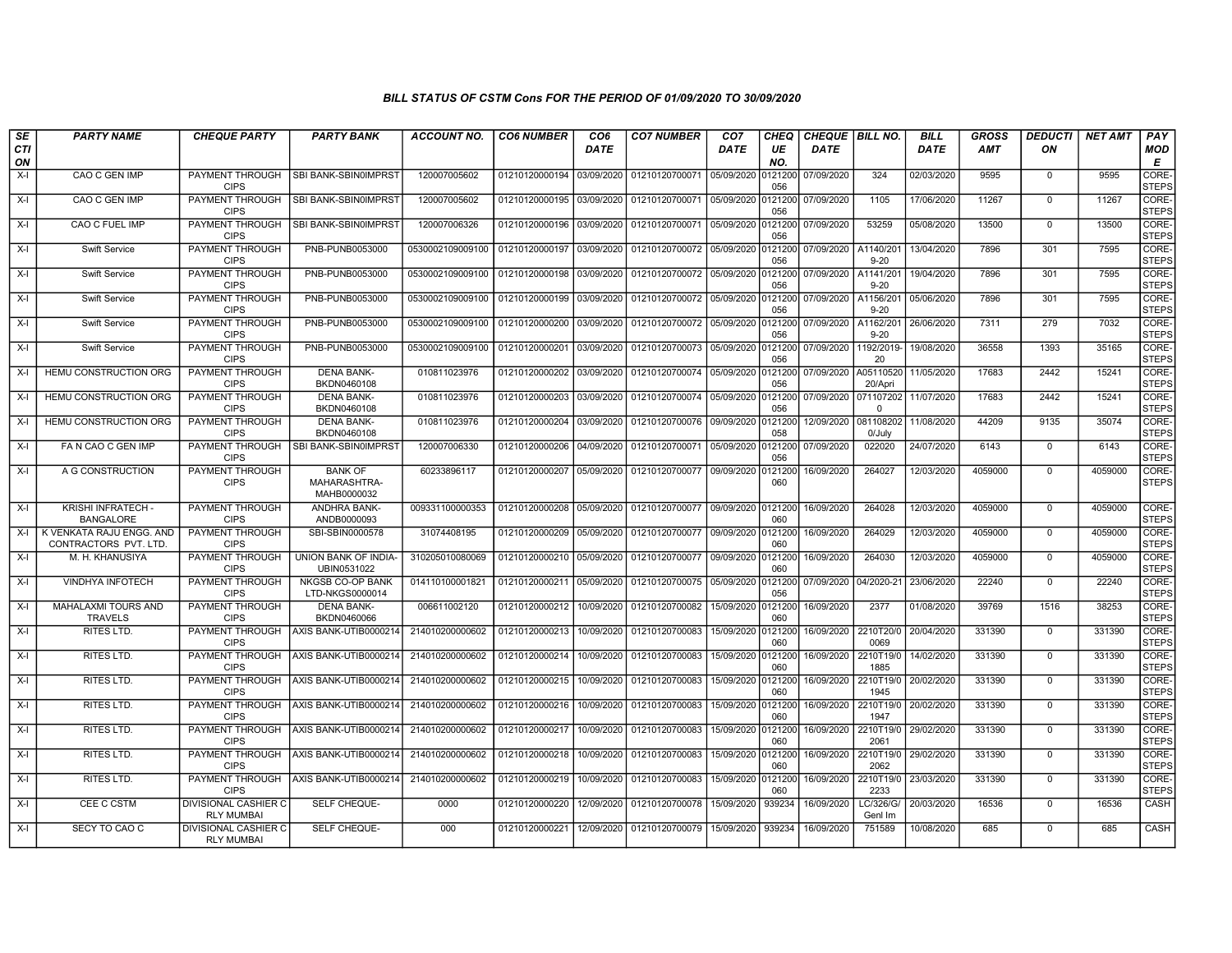## BILL STATUS OF CSTM Cons FOR THE PERIOD OF 01/09/2020 TO 30/09/2020

| SE        | <b>PARTY NAME</b>                                 | <b>CHEQUE PARTY</b>                       | <b>PARTY BANK</b>                             | <b>ACCOUNT NO.</b> | <b>CO6 NUMBER</b>         | CO <sub>6</sub> | <b>CO7 NUMBER</b>                 | CO <sub>7</sub>    | CHEQ           | <b>CHEQUE   BILL NO.</b> |                       | <b>BILL</b> | <b>GROSS</b> | <b>DEDUCTI</b> | <b>NET AMT</b> | PAY                   |
|-----------|---------------------------------------------------|-------------------------------------------|-----------------------------------------------|--------------------|---------------------------|-----------------|-----------------------------------|--------------------|----------------|--------------------------|-----------------------|-------------|--------------|----------------|----------------|-----------------------|
| CTI<br>ON |                                                   |                                           |                                               |                    |                           | <b>DATE</b>     |                                   | <b>DATE</b>        | UE<br>NO.      | <b>DATE</b>              |                       | <b>DATE</b> | AMT          | ON             |                | <b>MOD</b><br>Е       |
| $X-I$     | CAO C GEN IMP                                     | <b>PAYMENT THROUGH</b><br><b>CIPS</b>     | SBI BANK-SBIN0IMPRST                          | 120007005602       | 01210120000194            | 03/09/2020      | 01210120700071                    | 05/09/2020         | 0121200<br>056 | 07/09/2020               | 324                   | 02/03/2020  | 9595         | $\mathbf 0$    | 9595           | CORE-<br><b>STEPS</b> |
| $X-I$     | CAO C GEN IMP                                     | <b>PAYMENT THROUGH</b><br><b>CIPS</b>     | <b>SBI BANK-SBIN0IMPRST</b>                   | 120007005602       | 01210120000195            | 03/09/2020      | 01210120700071 05/09/2020 0121200 |                    | 056            | 07/09/2020               | 1105                  | 17/06/2020  | 11267        | $\mathbf{0}$   | 11267          | CORE-<br><b>STEPS</b> |
| X-I       | CAO C FUEL IMP                                    | PAYMENT THROUGH<br><b>CIPS</b>            | SBI BANK-SBIN0IMPRST                          | 120007006326       | 01210120000196 03/09/2020 |                 | 01210120700071 05/09/2020         |                    | 0121200<br>056 | 07/09/2020               | 53259                 | 05/08/2020  | 13500        | $\Omega$       | 13500          | CORE-<br><b>STEPS</b> |
| $X-I$     | Swift Service                                     | PAYMENT THROUGH<br><b>CIPS</b>            | PNB-PUNB0053000                               | 0530002109009100   | 01210120000197            | 03/09/2020      | 01210120700072 05/09/2020         |                    | 0121200<br>056 | 07/09/2020               | A1140/201<br>$9 - 20$ | 13/04/2020  | 7896         | 301            | 7595           | CORE-<br><b>STEPS</b> |
| $X-I$     | <b>Swift Service</b>                              | <b>PAYMENT THROUGH</b><br><b>CIPS</b>     | <b>PNB-PUNB0053000</b>                        | 0530002109009100   | 01210120000198            | 03/09/2020      | 01210120700072                    | 05/09/2020         | 0121200<br>056 | 07/09/2020               | A1141/201<br>$9 - 20$ | 19/04/2020  | 7896         | 301            | 7595           | CORE-<br><b>STEPS</b> |
| X-I       | <b>Swift Service</b>                              | <b>PAYMENT THROUGH</b><br><b>CIPS</b>     | PNB-PUNB0053000                               | 0530002109009100   | 01210120000199            | 03/09/2020      | 01210120700072 05/09/2020         |                    | 0121200<br>056 | 07/09/2020               | A1156/201<br>$9 - 20$ | 05/06/2020  | 7896         | 301            | 7595           | CORE-<br><b>STEPS</b> |
| X-I       | Swift Service                                     | PAYMENT THROUGH<br><b>CIPS</b>            | PNB-PUNB0053000                               | 0530002109009100   | 01210120000200            | 03/09/2020      | 01210120700072 05/09/2020         |                    | 0121200<br>056 | 07/09/2020               | A1162/201<br>$9 - 20$ | 26/06/2020  | 7311         | 279            | 7032           | CORE-<br><b>STEPS</b> |
| X-I       | <b>Swift Service</b>                              | PAYMENT THROUGH<br><b>CIPS</b>            | PNB-PUNB0053000                               | 0530002109009100   | 01210120000201            | 03/09/2020      | 01210120700073                    | 05/09/2020         | 0121200<br>056 | 07/09/2020               | 1192/2019-<br>20      | 19/08/2020  | 36558        | 1393           | 35165          | CORE-<br><b>STEPS</b> |
| $X-I$     | HEMU CONSTRUCTION ORG                             | <b>PAYMENT THROUGH</b><br><b>CIPS</b>     | <b>DENA BANK-</b><br>BKDN0460108              | 010811023976       | 01210120000202            | 03/09/2020      | 01210120700074 05/09/2020         |                    | 0121200<br>056 | 07/09/2020 A05110520     | 20/Apri               | 11/05/2020  | 17683        | 2442           | 15241          | CORE-<br><b>STEPS</b> |
| X-I       | HEMU CONSTRUCTION ORG                             | <b>PAYMENT THROUGH</b><br><b>CIPS</b>     | <b>DENA BANK-</b><br>BKDN0460108              | 010811023976       | 01210120000203            | 03/09/2020      | 01210120700074 05/09/2020         |                    | 0121200<br>056 | 07/09/2020 071107202     | $\Omega$              | 11/07/2020  | 17683        | 2442           | 15241          | CORE-<br><b>STEPS</b> |
| X-I       | HEMU CONSTRUCTION ORG                             | PAYMENT THROUGH<br><b>CIPS</b>            | <b>DENA BANK-</b><br>BKDN0460108              | 010811023976       | 01210120000204            | 03/09/2020      | 01210120700076                    | 09/09/2020         | 121200<br>058  | 12/09/2020               | 081108202<br>0/July   | 11/08/2020  | 44209        | 9135           | 35074          | CORE-<br><b>STEPS</b> |
| X-I       | FA N CAO C GEN IMP                                | PAYMENT THROUGH<br><b>CIPS</b>            | SBI BANK-SBIN0IMPRST                          | 120007006330       | 01210120000206            | 04/09/2020      | 01210120700071 05/09/2020         |                    | 0121200<br>056 | 07/09/2020               | 022020                | 24/07/2020  | 6143         | $\mathbf 0$    | 6143           | CORE-<br><b>STEPS</b> |
| X-I       | A G CONSTRUCTION                                  | <b>PAYMENT THROUGH</b><br><b>CIPS</b>     | <b>BANK OF</b><br>MAHARASHTRA-<br>MAHB0000032 | 60233896117        | 01210120000207            | 05/09/2020      | 01210120700077 09/09/2020         |                    | 0121200<br>060 | 16/09/2020               | 264027                | 12/03/2020  | 4059000      | $\mathbf{0}$   | 4059000        | CORE-<br><b>STEPS</b> |
| X-I       | KRISHI INFRATECH -<br><b>BANGALORE</b>            | PAYMENT THROUGH<br><b>CIPS</b>            | <b>ANDHRA BANK-</b><br>ANDB0000093            | 009331100000353    | 01210120000208 05/09/2020 |                 | 01210120700077 09/09/2020         |                    | 0121200<br>060 | 16/09/2020               | 264028                | 12/03/2020  | 4059000      | $\Omega$       | 4059000        | CORE-<br><b>STEPS</b> |
| X-I       | K VENKATA RAJU ENGG, AND<br>CONTRACTORS PVT. LTD. | <b>PAYMENT THROUGH</b><br><b>CIPS</b>     | SBI-SBIN0000578                               | 31074408195        | 01210120000209 05/09/2020 |                 | 01210120700077 09/09/2020         |                    | 0121200<br>060 | 16/09/2020               | 264029                | 12/03/2020  | 4059000      | $\mathbf 0$    | 4059000        | CORE-<br><b>STEPS</b> |
| $X-I$     | M. H. KHANUSIYA                                   | <b>PAYMENT THROUGH</b><br><b>CIPS</b>     | UNION BANK OF INDIA-<br>UBIN0531022           | 310205010080069    | 01210120000210            | 05/09/2020      | 01210120700077                    | 09/09/2020         | 0121200<br>060 | 16/09/2020               | 264030                | 12/03/2020  | 4059000      | $\mathbf 0$    | 4059000        | CORE-<br><b>STEPS</b> |
| $X-I$     | <b>VINDHYA INFOTECH</b>                           | PAYMENT THROUGH<br><b>CIPS</b>            | <b>NKGSB CO-OP BANK</b><br>LTD-NKGS0000014    | 014110100001821    | 01210120000211            | 05/09/2020      | 01210120700075 05/09/2020         |                    | 0121200<br>056 | 07/09/2020               | 04/2020-21            | 23/06/2020  | 22240        | $\mathbf 0$    | 22240          | CORE-<br><b>STEPS</b> |
| X-I       | MAHALAXMI TOURS AND<br><b>TRAVELS</b>             | PAYMENT THROUGH<br><b>CIPS</b>            | <b>DENA BANK-</b><br>BKDN0460066              | 006611002120       | 01210120000212            | 10/09/2020      | 01210120700082                    | 15/09/2020         | 0121200<br>060 | 16/09/2020               | 2377                  | 01/08/2020  | 39769        | 1516           | 38253          | CORE-<br><b>STEPS</b> |
| X-I       | <b>RITES LTD.</b>                                 | PAYMENT THROUGH<br><b>CIPS</b>            | AXIS BANK-UTIB0000214                         | 214010200000602    | 01210120000213            | 10/09/2020      | 01210120700083                    | 15/09/2020         | 0121200<br>060 | 16/09/2020               | 2210T20/0<br>0069     | 20/04/2020  | 331390       | $\mathbf 0$    | 331390         | CORE-<br><b>STEPS</b> |
| $X-I$     | <b>RITES LTD.</b>                                 | PAYMENT THROUGH<br><b>CIPS</b>            | AXIS BANK-UTIB0000214                         | 214010200000602    | 01210120000214            | 10/09/2020      | 01210120700083                    | 15/09/2020         | 0121200<br>060 | 16/09/2020               | 2210T19/0<br>1885     | 14/02/2020  | 331390       | $\Omega$       | 331390         | CORE-<br><b>STEPS</b> |
| X-I       | <b>RITES LTD.</b>                                 | <b>PAYMENT THROUGH</b><br><b>CIPS</b>     | AXIS BANK-UTIB0000214                         | 214010200000602    | 01210120000215            | 10/09/2020      | 01210120700083                    | 15/09/2020 0121200 | 060            | 16/09/2020               | 2210T19/0<br>1945     | 20/02/2020  | 331390       | $\mathbf 0$    | 331390         | CORE-<br><b>STEPS</b> |
| $X-I$     | RITES LTD.                                        | PAYMENT THROUGH<br><b>CIPS</b>            | AXIS BANK-UTIB0000214                         | 214010200000602    | 01210120000216            | 10/09/2020      | 01210120700083                    | 15/09/2020         | 0121200<br>060 | 16/09/2020               | 2210T19/0<br>1947     | 20/02/2020  | 331390       | $\mathbf 0$    | 331390         | CORE-<br><b>STEPS</b> |
| X-I       | <b>RITES LTD.</b>                                 | PAYMENT THROUGH<br><b>CIPS</b>            | AXIS BANK-UTIB0000214                         | 214010200000602    | 01210120000217            | 10/09/2020      | 01210120700083                    | 15/09/2020         | 0121200<br>060 | 16/09/2020               | 2210T19/0<br>2061     | 29/02/2020  | 331390       | $\mathbf 0$    | 331390         | CORE-<br><b>STEPS</b> |
| X-I       | <b>RITES LTD.</b>                                 | <b>PAYMENT THROUGH</b><br><b>CIPS</b>     | AXIS BANK-UTIB0000214                         | 214010200000602    | 01210120000218            | 10/09/2020      | 01210120700083                    | 15/09/2020         | 0121200<br>060 | 16/09/2020               | 2210T19/0<br>2062     | 29/02/2020  | 331390       | $\mathbf 0$    | 331390         | CORE-<br><b>STEPS</b> |
| $X-I$     | <b>RITES LTD.</b>                                 | <b>PAYMENT THROUGH</b><br><b>CIPS</b>     | AXIS BANK-UTIB0000214                         | 214010200000602    | 01210120000219            | 10/09/2020      | 01210120700083                    | 15/09/2020         | 0121200<br>060 | 16/09/2020               | 2210T19/0<br>2233     | 23/03/2020  | 331390       | $\Omega$       | 331390         | CORE-<br><b>STEPS</b> |
| $X-I$     | CEE C CSTM                                        | DIVISIONAL CASHIER C<br><b>RLY MUMBAI</b> | SELF CHEQUE-                                  | 0000               | 01210120000220            | 12/09/2020      | 01210120700078                    | 15/09/2020         | 939234         | 16/09/2020               | C/326/G/<br>Genl Im   | 20/03/2020  | 16536        | $\mathbf 0$    | 16536          | CASH                  |
| $X-I$     | SECY TO CAO C                                     | DIVISIONAL CASHIER C<br><b>RLY MUMBAI</b> | SELF CHEQUE-                                  | 000                | 01210120000221            | 12/09/2020      | 01210120700079                    | 15/09/2020         | 939234         | 16/09/2020               | 751589                | 10/08/2020  | 685          | $\mathbf 0$    | 685            | CASH                  |